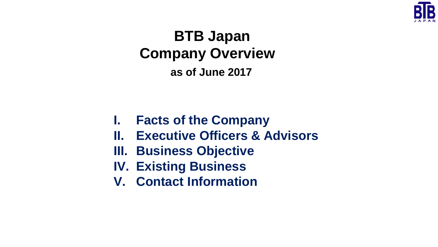

# **BTB Japan Company Overview as of June 2017**

- **I. Facts of the Company**
- **II. Executive Officers & Advisors**
- **III. Business Objective**
- **IV. Existing Business**
- **V. Contact Information**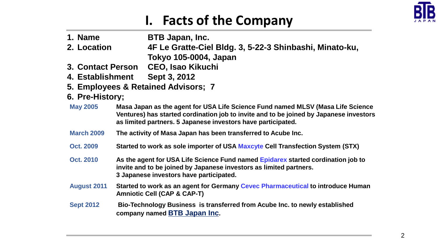

## **I. Facts of the Company**

| 1. Name                  | <b>BTB Japan, Inc.</b>                                                                                                                                                                                                                    |  |  |  |  |
|--------------------------|-------------------------------------------------------------------------------------------------------------------------------------------------------------------------------------------------------------------------------------------|--|--|--|--|
| 2. Location              | 4F Le Gratte-Ciel Bldg. 3, 5-22-3 Shinbashi, Minato-ku,<br>Tokyo 105-0004, Japan                                                                                                                                                          |  |  |  |  |
| <b>3. Contact Person</b> | <b>CEO, Isao Kikuchi</b>                                                                                                                                                                                                                  |  |  |  |  |
| 4. Establishment         | Sept 3, 2012                                                                                                                                                                                                                              |  |  |  |  |
|                          | 5. Employees & Retained Advisors; 7                                                                                                                                                                                                       |  |  |  |  |
| 6. Pre-History;          |                                                                                                                                                                                                                                           |  |  |  |  |
| <b>May 2005</b>          | Masa Japan as the agent for USA Life Science Fund named MLSV (Masa Life Science<br>Ventures) has started cordination job to invite and to be joined by Japanese investors<br>as limited partners. 5 Japanese investors have participated. |  |  |  |  |
| <b>March 2009</b>        | The activity of Masa Japan has been transferred to Acube Inc.                                                                                                                                                                             |  |  |  |  |
| <b>Oct. 2009</b>         | Started to work as sole importer of USA Maxcyte Cell Transfection System (STX)                                                                                                                                                            |  |  |  |  |
| <b>Oct. 2010</b>         | As the agent for USA Life Science Fund named Epidarex started cordination job to<br>invite and to be joined by Japanese investors as limited partners.<br>3 Japanese investors have participated.                                         |  |  |  |  |
| <b>August 2011</b>       | Started to work as an agent for Germany Cevec Pharmaceutical to introduce Human<br><b>Amniotic Cell (CAP &amp; CAP-T)</b>                                                                                                                 |  |  |  |  |
| <b>Sept 2012</b>         | Bio-Technology Business is transferred from Acube Inc. to newly established<br>company named <b>BTB</b> Japan Inc.                                                                                                                        |  |  |  |  |
|                          |                                                                                                                                                                                                                                           |  |  |  |  |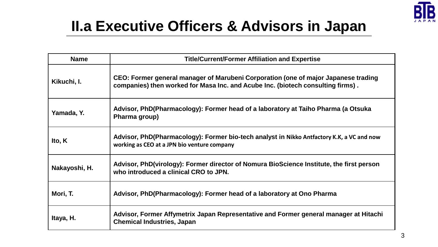

# **II.a Executive Officers & Advisors in Japan**

| <b>Name</b>   | <b>Title/Current/Former Affiliation and Expertise</b>                                                                                                                 |  |
|---------------|-----------------------------------------------------------------------------------------------------------------------------------------------------------------------|--|
| Kikuchi, I.   | CEO: Former general manager of Marubeni Corporation (one of major Japanese trading<br>companies) then worked for Masa Inc. and Acube Inc. (biotech consulting firms). |  |
| Yamada, Y.    | Advisor, PhD(Pharmacology): Former head of a laboratory at Taiho Pharma (a Otsuka<br>Pharma group)                                                                    |  |
| Ito, K        | Advisor, PhD(Pharmacology): Former bio-tech analyst in Nikko Antfactory K.K, a VC and now<br>working as CEO at a JPN bio venture company                              |  |
| Nakayoshi, H. | Advisor, PhD(virology): Former director of Nomura BioScience Institute, the first person<br>who introduced a clinical CRO to JPN.                                     |  |
| Mori, T.      | Advisor, PhD(Pharmacology): Former head of a laboratory at Ono Pharma                                                                                                 |  |
| Itaya, H.     | Advisor, Former Affymetrix Japan Representative and Former general manager at Hitachi<br><b>Chemical Industries, Japan</b>                                            |  |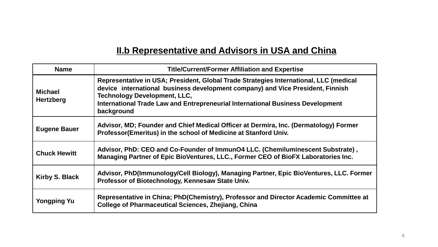### **II.b Representative and Advisors in USA and China**

| <b>Name</b>                        | <b>Title/Current/Former Affiliation and Expertise</b>                                                                                                                                                                                                                                                          |  |
|------------------------------------|----------------------------------------------------------------------------------------------------------------------------------------------------------------------------------------------------------------------------------------------------------------------------------------------------------------|--|
| <b>Michael</b><br><b>Hertzberg</b> | Representative in USA; President, Global Trade Strategies International, LLC (medical<br>device international business development company) and Vice President, Finnish<br><b>Technology Development, LLC,</b><br>International Trade Law and Entrepreneurial International Business Development<br>background |  |
| <b>Eugene Bauer</b>                | Advisor, MD; Founder and Chief Medical Officer at Dermira, Inc. (Dermatology) Former<br>Professor (Emeritus) in the school of Medicine at Stanford Univ.                                                                                                                                                       |  |
| <b>Chuck Hewitt</b>                | Advisor, PhD: CEO and Co-Founder of ImmunO4 LLC. (Chemiluminescent Substrate),<br>Managing Partner of Epic BioVentures, LLC., Former CEO of BioFX Laboratories Inc.                                                                                                                                            |  |
| <b>Kirby S. Black</b>              | Advisor, PhD(Immunology/Cell Biology), Managing Partner, Epic BioVentures, LLC. Former<br>Professor of Biotechnology, Kennesaw State Univ.                                                                                                                                                                     |  |
| <b>Yongping Yu</b>                 | Representative in China; PhD(Chemistry), Professor and Director Academic Committee at<br><b>College of Pharmaceutical Sciences, Zhejiang, China</b>                                                                                                                                                            |  |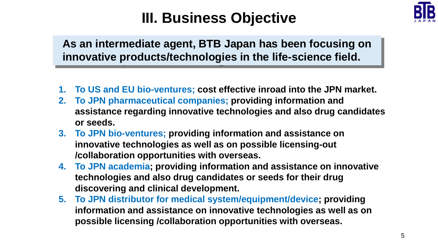

## **III. Business Objective**

**As an intermediate agent, BTB Japan has been focusing on innovative products/technologies in the life-science field.** 

- **1. To US and EU bio-ventures; cost effective inroad into the JPN market.**
- **2. To JPN pharmaceutical companies; providing information and assistance regarding innovative technologies and also drug candidates or seeds.**
- **3. To JPN bio-ventures; providing information and assistance on innovative technologies as well as on possible licensing-out /collaboration opportunities with overseas.**
- **4. To JPN academia; providing information and assistance on innovative technologies and also drug candidates or seeds for their drug discovering and clinical development.**
- **5. To JPN distributor for medical system/equipment/device; providing information and assistance on innovative technologies as well as on possible licensing /collaboration opportunities with overseas.**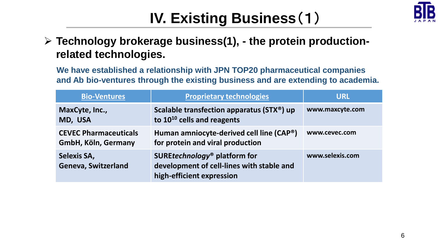

# **IV. Existing Business**(1)

### **Technology brokerage business(1), - the protein productionrelated technologies.**

**We have established a relationship with JPN TOP20 pharmaceutical companies and Ab bio-ventures through the existing business and are extending to academia.**

| <b>Bio-Ventures</b>                                 | <b>Proprietary technologies</b>                                                                                    | <b>URL</b>      |
|-----------------------------------------------------|--------------------------------------------------------------------------------------------------------------------|-----------------|
| MaxCyte, Inc.,<br>MD, USA                           | Scalable transfection apparatus (STX®) up<br>to $10^{10}$ cells and reagents                                       | www.maxcyte.com |
| <b>CEVEC Pharmaceuticals</b><br>GmbH, Köln, Germany | Human amniocyte-derived cell line (CAP®)<br>for protein and viral production                                       | www.cevec.com   |
| <b>Selexis SA,</b><br><b>Geneva, Switzerland</b>    | SUREtechnology <sup>®</sup> platform for<br>development of cell-lines with stable and<br>high-efficient expression | www.selexis.com |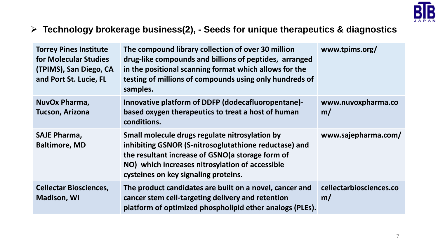

#### **Technology brokerage business(2), - Seeds for unique therapeutics & diagnostics**

| <b>Torrey Pines Institute</b><br>for Molecular Studies<br>(TPIMS), San Diego, CA<br>and Port St. Lucie, FL | The compound library collection of over 30 million<br>drug-like compounds and billions of peptides, arranged<br>in the positional scanning format which allows for the<br>testing of millions of compounds using only hundreds of<br>samples.          | www.tpims.org/                |
|------------------------------------------------------------------------------------------------------------|--------------------------------------------------------------------------------------------------------------------------------------------------------------------------------------------------------------------------------------------------------|-------------------------------|
| NuvOx Pharma,<br>Tucson, Arizona                                                                           | Innovative platform of DDFP (dodecafluoropentane)-<br>based oxygen therapeutics to treat a host of human<br>conditions.                                                                                                                                | www.nuvoxpharma.co<br>m/      |
| <b>SAJE Pharma,</b><br><b>Baltimore, MD</b>                                                                | Small molecule drugs regulate nitrosylation by<br>inhibiting GSNOR (S-nitrosoglutathione reductase) and<br>the resultant increase of GSNO(a storage form of<br>NO) which increases nitrosylation of accessible<br>cysteines on key signaling proteins. | www.sajepharma.com/           |
| <b>Cellectar Biosciences,</b><br><b>Madison, WI</b>                                                        | The product candidates are built on a novel, cancer and<br>cancer stem cell-targeting delivery and retention<br>platform of optimized phospholipid ether analogs (PLEs).                                                                               | cellectarbiosciences.co<br>m/ |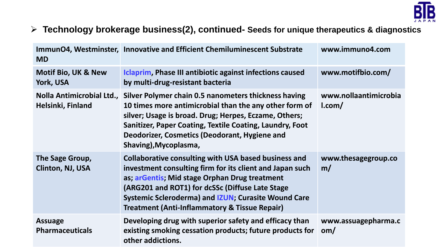

### **Technology brokerage business(2), continued- Seeds for unique therapeutics & diagnostics**

| <b>MD</b>                                   | ImmunO4, Westminster, Innovative and Efficient Chemiluminescent Substrate                                                                                                                                                                                                                                                                             | www.immuno4.com                 |
|---------------------------------------------|-------------------------------------------------------------------------------------------------------------------------------------------------------------------------------------------------------------------------------------------------------------------------------------------------------------------------------------------------------|---------------------------------|
| <b>Motif Bio, UK &amp; New</b><br>York, USA | Iclaprim, Phase III antibiotic against infections caused<br>by multi-drug-resistant bacteria                                                                                                                                                                                                                                                          | www.motifbio.com/               |
| Helsinki, Finland                           | Nolla Antimicrobial Ltd., Silver Polymer chain 0.5 nanometers thickness having<br>10 times more antimicrobial than the any other form of<br>silver; Usage is broad. Drug; Herpes, Eczame, Others;<br>Sanitizer, Paper Coating, Textile Coating, Laundry, Foot<br>Deodorizer, Cosmetics (Deodorant, Hygiene and<br>Shaving), Mycoplasma,               | www.nollaantimicrobia<br>l.com/ |
| The Sage Group,<br>Clinton, NJ, USA         | <b>Collaborative consulting with USA based business and</b><br>investment consulting firm for its client and Japan such<br>as; arGentis; Mid stage Orphan Drug treatment<br>(ARG201 and ROT1) for dcSSc (Diffuse Late Stage<br><b>Systemic Scleroderma) and IZUN; Curasite Wound Care</b><br><b>Treatment (Anti-Inflammatory &amp; Tissue Repair)</b> | www.thesagegroup.co<br>m/       |
| <b>Assuage</b><br><b>Pharmaceuticals</b>    | Developing drug with superior safety and efficacy than<br>existing smoking cessation products; future products for<br>other addictions.                                                                                                                                                                                                               | www.assuagepharma.c<br>om/      |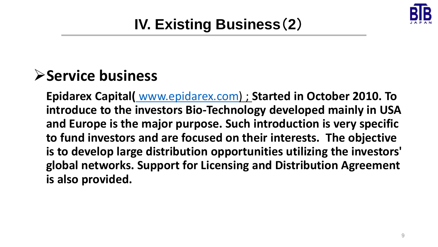

# **IV. Existing Business**(**2**)

## **Service business**

**Epidarex Capital(** [www.epidarex.com\)](http://www.epidarex.com/) ; **Started in October 2010. To introduce to the investors Bio-Technology developed mainly in USA and Europe is the major purpose. Such introduction is very specific to fund investors and are focused on their interests. The objective is to develop large distribution opportunities utilizing the investors' global networks. Support for Licensing and Distribution Agreement is also provided.**